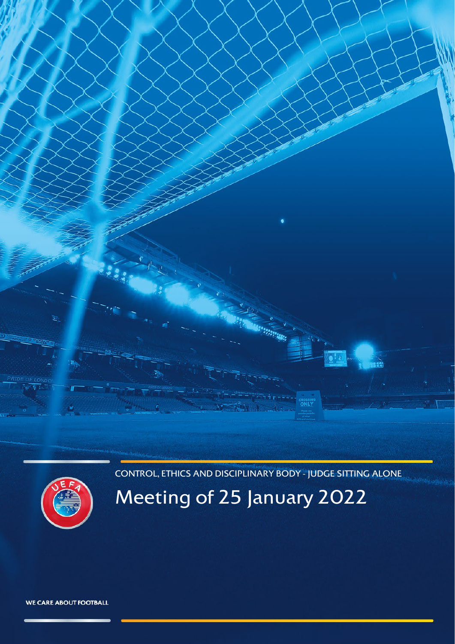CONTROL, ETHICS AND DISCIPLINARY BODY - JUDGE SITTING ALONE

<span id="page-0-0"></span>

# Meeting of 25 January 2022

WE CARE ABOUT FOOTBALL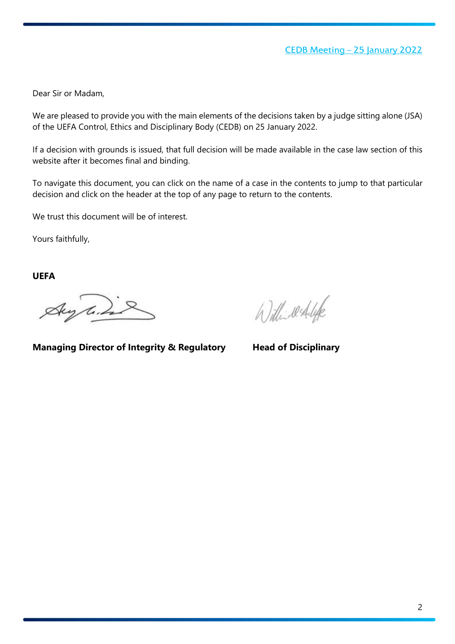Dear Sir or Madam,

We are pleased to provide you with the main elements of the decisions taken by a judge sitting alone (JSA) of the UEFA Control, Ethics and Disciplinary Body (CEDB) on 25 January 2022.

If a decision with grounds is issued, that full decision will be made available in the case law section of this website after it becomes final and binding.

To navigate this document, you can click on the name of a case in the contents to jump to that particular decision and click on the header at the top of any page to return to the contents.

We trust this document will be of interest.

Yours faithfully,

**UEFA**

Aug line

Williwerflife

**Managing Director of Integrity & Regulatory Head of Disciplinary**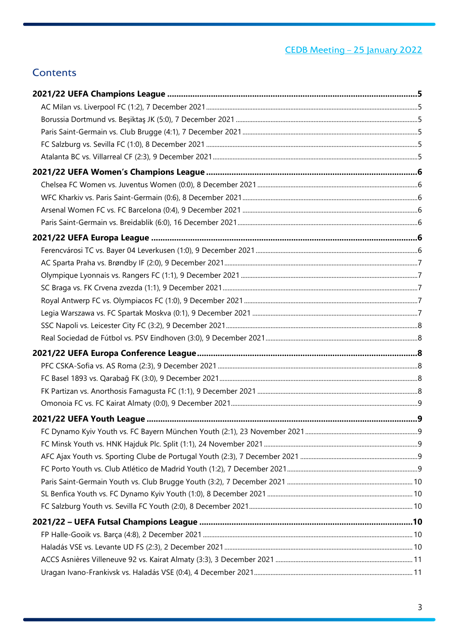## **Contents**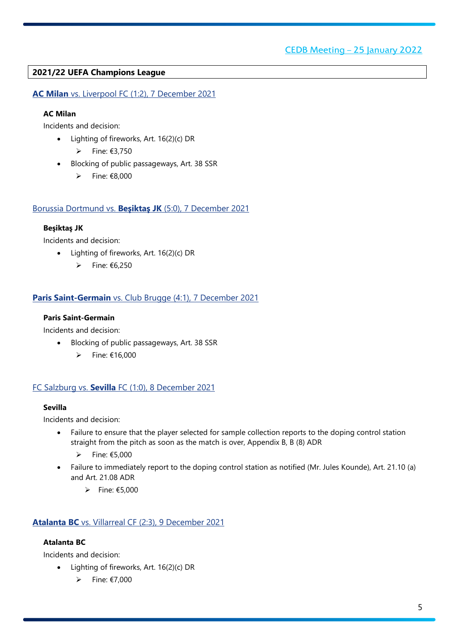## <span id="page-4-0"></span>**2021/22 UEFA Champions League**

<span id="page-4-1"></span>**AC Milan** vs. Liverpool FC (1:2), 7 December 2021

#### **AC Milan**

Incidents and decision:

- Lighting of fireworks, Art. 16(2)(c) DR
	- $\triangleright$  Fine: €3,750
- Blocking of public passageways, Art. 38 SSR
	- Fine: €8,000

#### <span id="page-4-2"></span>Borussia Dortmund vs. **Beşiktaş JK** (5:0), 7 December 2021

#### **Beşiktaş JK**

Incidents and decision:

- Lighting of fireworks, Art. 16(2)(c) DR
	- $\rho$  Fine: €6,250

#### <span id="page-4-3"></span>**Paris Saint-Germain** vs. Club Brugge (4:1), 7 December 2021

#### **Paris Saint-Germain**

Incidents and decision:

- Blocking of public passageways, Art. 38 SSR
	- $\triangleright$  Fine: €16,000

#### <span id="page-4-4"></span>FC Salzburg vs. **Sevilla** FC (1:0), 8 December 2021

#### **Sevilla**

Incidents and decision:

- Failure to ensure that the player selected for sample collection reports to the doping control station straight from the pitch as soon as the match is over, Appendix B, B (8) ADR
	- $▶$  Fine: €5,000
- Failure to immediately report to the doping control station as notified (Mr. Jules Kounde), Art. 21.10 (a) and Art. 21.08 ADR
	- $\rightharpoonup$  Fine: €5,000

## <span id="page-4-5"></span>**Atalanta BC** vs. Villarreal CF (2:3), 9 December 2021

## **Atalanta BC**

- Lighting of fireworks, Art. 16(2)(c) DR
	- $\triangleright$  Fine: €7,000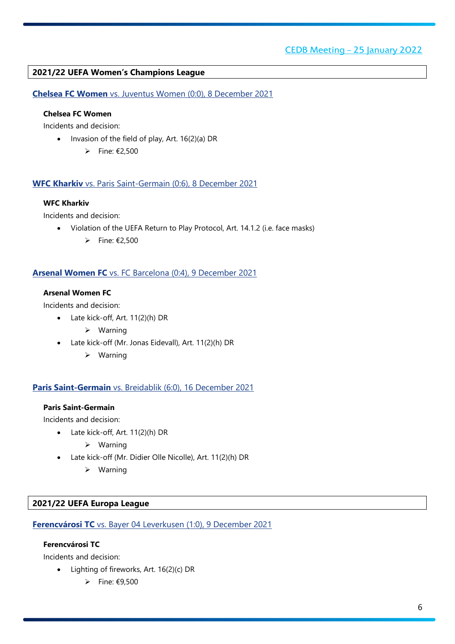## <span id="page-5-0"></span>**2021/22 UEFA Women's Champions League**

<span id="page-5-1"></span>**Chelsea FC Women** vs. Juventus Women (0:0), 8 December 2021

## **Chelsea FC Women**

Incidents and decision:

- Invasion of the field of play, Art. 16(2)(a) DR
	- $\rightharpoonup$  Fine: €2,500

#### <span id="page-5-2"></span>**WFC Kharkiv** vs. Paris Saint-Germain (0:6), 8 December 2021

#### **WFC Kharkiv**

Incidents and decision:

- Violation of the UEFA Return to Play Protocol, Art. 14.1.2 (i.e. face masks)
	- Fine:  $\epsilon$ 2,500

#### <span id="page-5-3"></span>**Arsenal Women FC** vs. FC Barcelona (0:4), 9 December 2021

#### **Arsenal Women FC**

Incidents and decision:

- Late kick-off, Art. 11(2)(h) DR
	- $\triangleright$  Warning
- Late kick-off (Mr. Jonas Eidevall), Art. 11(2)(h) DR
	- Warning

#### <span id="page-5-4"></span>**Paris Saint-Germain** vs. Breidablik (6:0), 16 December 2021

#### **Paris Saint-Germain**

Incidents and decision:

- Late kick-off, Art. 11(2)(h) DR
	- $\triangleright$  Warning
- Late kick-off (Mr. Didier Olle Nicolle), Art. 11(2)(h) DR
	- $\triangleright$  Warning

#### <span id="page-5-5"></span>**2021/22 UEFA Europa League**

<span id="page-5-6"></span>**Ferencvárosi TC** vs. Bayer 04 Leverkusen (1:0), 9 December 2021

#### **Ferencvárosi TC**

- Lighting of fireworks, Art. 16(2)(c) DR
	- $\rightharpoonup$  Fine: €9,500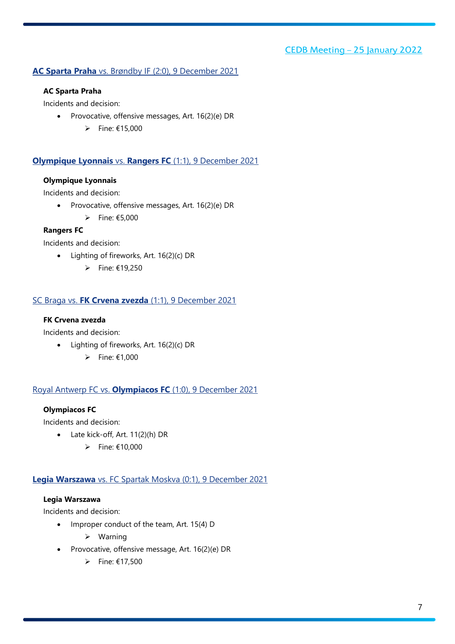## <span id="page-6-0"></span>**AC Sparta Praha** vs. Brøndby IF (2:0), 9 December 2021

#### **AC Sparta Praha**

Incidents and decision:

- Provocative, offensive messages, Art. 16(2)(e) DR
	- $▶$  Fine: €15,000

## <span id="page-6-1"></span>**Olympique Lyonnais** vs. **Rangers FC** (1:1), 9 December 2021

#### **Olympique Lyonnais**

Incidents and decision:

- Provocative, offensive messages, Art. 16(2)(e) DR
	- $\rightharpoonup$  Fine: €5,000

## **Rangers FC**

Incidents and decision:

- Lighting of fireworks, Art. 16(2)(c) DR
	- $\triangleright$  Fine: €19,250

## <span id="page-6-2"></span>SC Braga vs. **FK Crvena zvezda** (1:1), 9 December 2021

#### **FK Crvena zvezda**

Incidents and decision:

- Lighting of fireworks, Art. 16(2)(c) DR
	- Fine:  $£1,000$

#### <span id="page-6-3"></span>Royal Antwerp FC vs. **Olympiacos FC** (1:0), 9 December 2021

#### **Olympiacos FC**

Incidents and decision:

- Late kick-off, Art. 11(2)(h) DR
	- $\rightharpoonup$  Fine: €10,000

## <span id="page-6-4"></span>**Legia Warszawa** vs. FC Spartak Moskva (0:1), 9 December 2021

## **Legia Warszawa**

- Improper conduct of the team, Art. 15(4) D
	- $\triangleright$  Warning
- Provocative, offensive message, Art. 16(2)(e) DR
	- $▶$  Fine: €17,500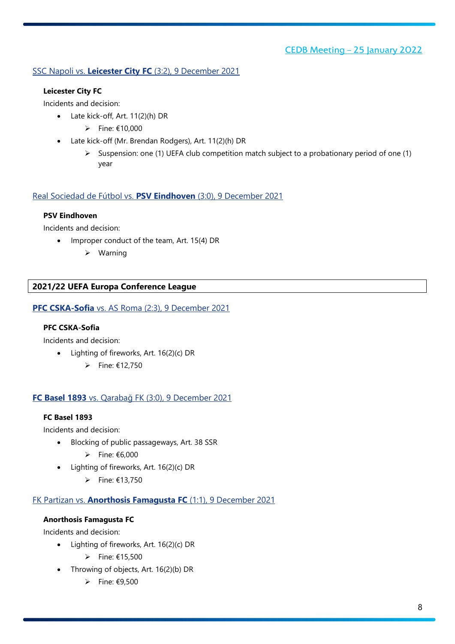## <span id="page-7-0"></span>SSC Napoli vs. **Leicester City FC** (3:2), 9 December 2021

#### **Leicester City FC**

Incidents and decision:

- Late kick-off, Art. 11(2)(h) DR
	- $▶$  Fine: €10,000
- Late kick-off (Mr. Brendan Rodgers), Art. 11(2)(h) DR
	- $\triangleright$  Suspension: one (1) UEFA club competition match subject to a probationary period of one (1) year

## <span id="page-7-1"></span>Real Sociedad de Fútbol vs. **PSV Eindhoven** (3:0), 9 December 2021

## **PSV Eindhoven**

Incidents and decision:

- Improper conduct of the team, Art. 15(4) DR
	- Warning

## <span id="page-7-2"></span>**2021/22 UEFA Europa Conference League**

<span id="page-7-3"></span>**PFC CSKA-Sofia** vs. AS Roma (2:3), 9 December 2021

#### **PFC CSKA-Sofia**

Incidents and decision:

- Lighting of fireworks, Art. 16(2)(c) DR
	- Fine:  $£12,750$

## <span id="page-7-4"></span>**FC Basel 1893** vs. Qarabağ FK (3:0), 9 December 2021

#### **FC Basel 1893**

Incidents and decision:

- Blocking of public passageways, Art. 38 SSR
	- $▶$  Fine:  $€6,000$
- Lighting of fireworks, Art. 16(2)(c) DR
	- Fine: €13,750

## <span id="page-7-5"></span>FK Partizan vs. **Anorthosis Famagusta FC** (1:1), 9 December 2021

## **Anorthosis Famagusta FC**

- Lighting of fireworks, Art. 16(2)(c) DR
	- $\rightharpoonup$  Fine: €15,500
- Throwing of objects, Art. 16(2)(b) DR
	- $\rho$  Fine: €9,500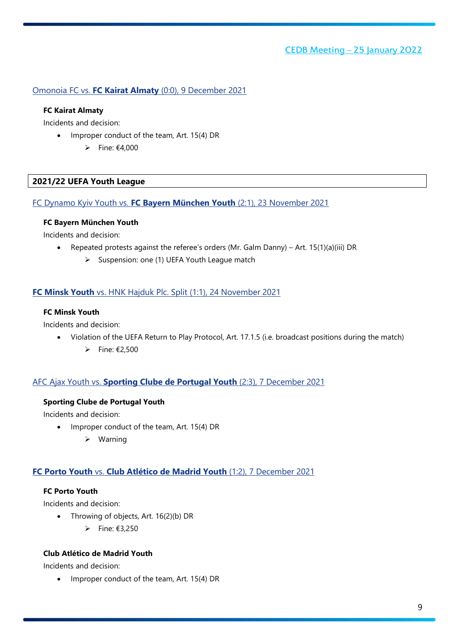#### <span id="page-8-0"></span>Omonoia FC vs. **FC Kairat Almaty** (0:0), 9 December 2021

#### **FC Kairat Almaty**

Incidents and decision:

- Improper conduct of the team, Art. 15(4) DR
	- Fine:  $\epsilon$ 4.000

#### <span id="page-8-1"></span>**2021/22 UEFA Youth League**

#### <span id="page-8-2"></span>FC Dynamo Kyiv Youth vs. **FC Bayern München Youth** (2:1), 23 November 2021

#### **FC Bayern München Youth**

Incidents and decision:

- Repeated protests against the referee's orders (Mr. Galm Danny) Art. 15(1)(a)(iii) DR
	- Suspension: one (1) UEFA Youth League match

#### <span id="page-8-3"></span>**FC Minsk Youth** vs. HNK Hajduk Plc. Split (1:1), 24 November 2021

#### **FC Minsk Youth**

Incidents and decision:

- Violation of the UEFA Return to Play Protocol, Art. 17.1.5 (i.e. broadcast positions during the match)
	- $\triangleright$  Fine: €2.500

#### <span id="page-8-4"></span>AFC Ajax Youth vs. **Sporting Clube de Portugal Youth** (2:3), 7 December 2021

#### **Sporting Clube de Portugal Youth**

Incidents and decision:

- Improper conduct of the team, Art. 15(4) DR
	- $\triangleright$  Warning

#### <span id="page-8-5"></span>**FC Porto Youth** vs. **Club Atlético de Madrid Youth** (1:2), 7 December 2021

## **FC Porto Youth**

Incidents and decision:

- Throwing of objects, Art. 16(2)(b) DR
	- $▶$  Fine: €3,250

#### **Club Atlético de Madrid Youth**

Incidents and decision:

• Improper conduct of the team, Art. 15(4) DR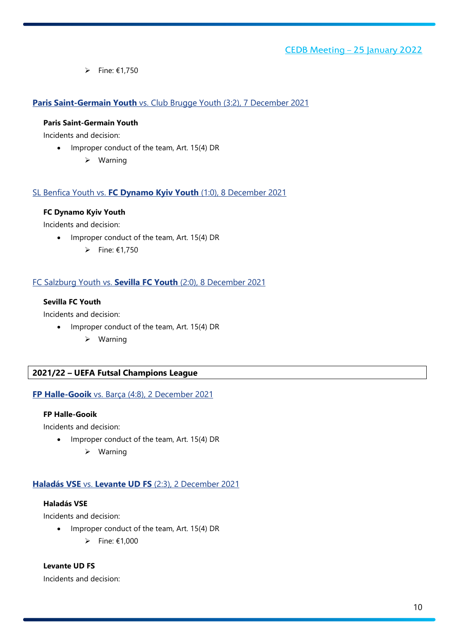$▶$  Fine: €1,750

## <span id="page-9-0"></span>**Paris Saint-Germain Youth** vs. Club Brugge Youth (3:2), 7 December 2021

#### **Paris Saint-Germain Youth**

Incidents and decision:

- Improper conduct of the team, Art. 15(4) DR
	- Warning

#### <span id="page-9-1"></span>SL Benfica Youth vs. **FC Dynamo Kyiv Youth** (1:0), 8 December 2021

#### **FC Dynamo Kyiv Youth**

Incidents and decision:

- Improper conduct of the team, Art. 15(4) DR
	- Fine:  $£1.750$

#### <span id="page-9-2"></span>FC Salzburg Youth vs. **Sevilla FC Youth** (2:0), 8 December 2021

#### **Sevilla FC Youth**

Incidents and decision:

- Improper conduct of the team, Art. 15(4) DR
	- $\triangleright$  Warning

## <span id="page-9-3"></span>**2021/22 – UEFA Futsal Champions League**

## <span id="page-9-4"></span>**FP Halle-Gooik** vs. Barça (4:8), 2 December 2021

#### **FP Halle-Gooik**

Incidents and decision:

- Improper conduct of the team, Art. 15(4) DR
	- $\triangleright$  Warning

#### <span id="page-9-5"></span>**Haladás VSE** vs. **Levante UD FS** (2:3), 2 December 2021

## **Haladás VSE**

Incidents and decision:

- Improper conduct of the team, Art. 15(4) DR
	- $\triangleright$  Fine: €1.000

**Levante UD FS**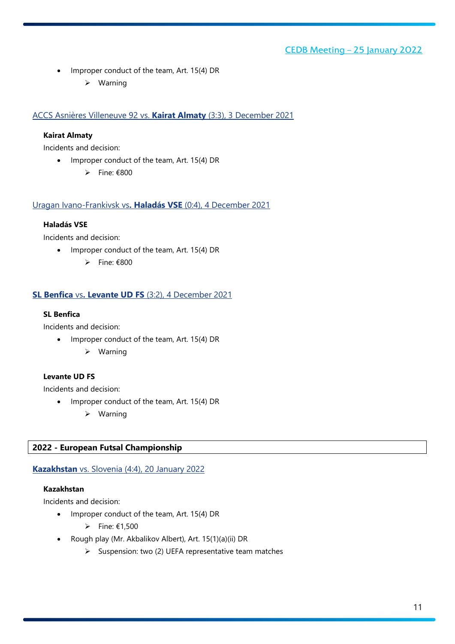- Improper conduct of the team, Art. 15(4) DR
	- $\triangleright$  Warning

<span id="page-10-0"></span>ACCS Asnières Villeneuve 92 vs. **Kairat Almaty** (3:3), 3 December 2021

#### **Kairat Almaty**

Incidents and decision:

- Improper conduct of the team, Art. 15(4) DR
	- $\rho$  Fine: €800

<span id="page-10-1"></span>Uragan Ivano-Frankivsk vs**. Haladás VSE** (0:4), 4 December 2021

#### **Haladás VSE**

Incidents and decision:

- Improper conduct of the team, Art. 15(4) DR
	- $\rho$  Fine: €800

## <span id="page-10-2"></span>**SL Benfica** vs**. Levante UD FS** (3:2), 4 December 2021

#### **SL Benfica**

Incidents and decision:

- Improper conduct of the team, Art. 15(4) DR
	- $\triangleright$  Warning

## **Levante UD FS**

Incidents and decision:

- Improper conduct of the team, Art. 15(4) DR
	- Warning

## <span id="page-10-3"></span>**2022 - European Futsal Championship**

#### <span id="page-10-4"></span>**Kazakhstan** vs. Slovenia (4:4), 20 January 2022

#### **Kazakhstan**

- Improper conduct of the team, Art. 15(4) DR
	- $▶$  Fine: €1,500
- Rough play (Mr. Akbalikov Albert), Art. 15(1)(a)(ii) DR
	- $\triangleright$  Suspension: two (2) UEFA representative team matches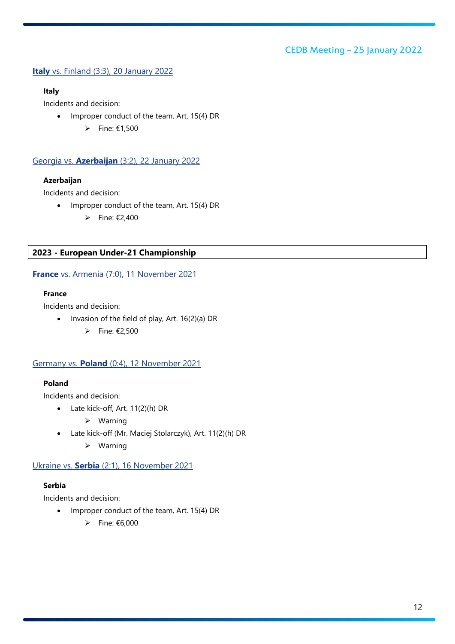## <span id="page-11-0"></span>**Italy** vs. Finland (3:3), 20 January 2022

#### **Italy**

Incidents and decision:

- Improper conduct of the team, Art. 15(4) DR
	- $▶$  Fine: €1,500

## <span id="page-11-1"></span>Georgia vs. **Azerbaijan** (3:2), 22 January 2022

## **Azerbaijan**

Incidents and decision:

- Improper conduct of the team, Art. 15(4) DR
	- $\rightharpoonup$  Fine: €2,400

## <span id="page-11-2"></span>**2023 - European Under-21 Championship**

## <span id="page-11-3"></span>**France** vs. Armenia (7:0), 11 November 2021

## **France**

Incidents and decision:

- Invasion of the field of play, Art. 16(2)(a) DR
	- $\rightharpoonup$  Fine: €2,500

## <span id="page-11-4"></span>Germany vs. **Poland** (0:4), 12 November 2021

## **Poland**

Incidents and decision:

- Late kick-off, Art. 11(2)(h) DR
	- Warning
- Late kick-off (Mr. Maciej Stolarczyk), Art. 11(2)(h) DR
	- $\triangleright$  Warning

#### <span id="page-11-5"></span>Ukraine vs. **Serbia** (2:1), 16 November 2021

## **Serbia**

- Improper conduct of the team, Art. 15(4) DR
	- $\rightharpoonup$  Fine: €6,000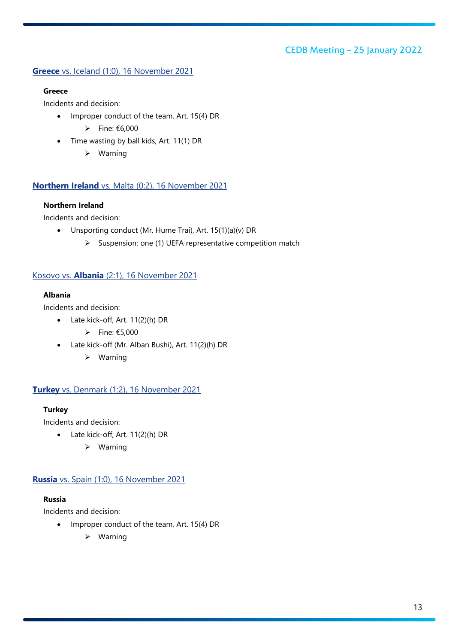## <span id="page-12-0"></span>**Greece** vs. Iceland (1:0), 16 November 2021

#### **Greece**

Incidents and decision:

- Improper conduct of the team, Art. 15(4) DR
	- $▶$  Fine:  $€6,000$
- Time wasting by ball kids, Art. 11(1) DR
	- $\triangleright$  Warning

#### <span id="page-12-1"></span>**Northern Ireland** vs. Malta (0:2), 16 November 2021

#### **Northern Ireland**

Incidents and decision:

- Unsporting conduct (Mr. Hume Trai), Art. 15(1)(a)(v) DR
	- $\triangleright$  Suspension: one (1) UEFA representative competition match

#### <span id="page-12-2"></span>Kosovo vs. **Albania** (2:1), 16 November 2021

#### **Albania**

Incidents and decision:

- Late kick-off, Art. 11(2)(h) DR
	- $\triangleright$  Fine: €5,000
- Late kick-off (Mr. Alban Bushi), Art. 11(2)(h) DR
	- $\triangleright$  Warning

#### <span id="page-12-3"></span>**Turkey** vs. Denmark (1:2), 16 November 2021

#### **Turkey**

Incidents and decision:

- Late kick-off, Art. 11(2)(h) DR
	- Warning

#### <span id="page-12-4"></span>**Russia** vs. Spain (1:0), 16 November 2021

#### **Russia**

- Improper conduct of the team, Art. 15(4) DR
	- $\triangleright$  Warning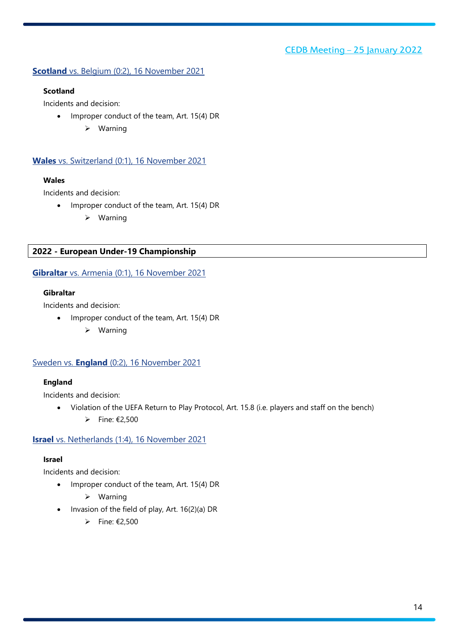## <span id="page-13-0"></span>**Scotland** vs. Belgium (0:2), 16 November 2021

#### **Scotland**

Incidents and decision:

- Improper conduct of the team, Art. 15(4) DR
	- Warning

## <span id="page-13-1"></span>**Wales** vs. Switzerland (0:1), 16 November 2021

## **Wales**

Incidents and decision:

- Improper conduct of the team, Art. 15(4) DR
	- $\triangleright$  Warning

## <span id="page-13-2"></span>**2022 - European Under-19 Championship**

## <span id="page-13-3"></span>**Gibraltar** vs. Armenia (0:1), 16 November 2021

#### **Gibraltar**

Incidents and decision:

- Improper conduct of the team, Art. 15(4) DR
	- $\triangleright$  Warning

#### <span id="page-13-4"></span>Sweden vs. **England** (0:2), 16 November 2021

#### **England**

Incidents and decision:

• Violation of the UEFA Return to Play Protocol, Art. 15.8 (i.e. players and staff on the bench)  $▶$  Fine: €2,500

#### <span id="page-13-5"></span>**Israel** vs. Netherlands (1:4), 16 November 2021

#### **Israel**

- Improper conduct of the team, Art. 15(4) DR
	- $\triangleright$  Warning
- Invasion of the field of play, Art. 16(2)(a) DR
	- $\triangleright$  Fine: €2,500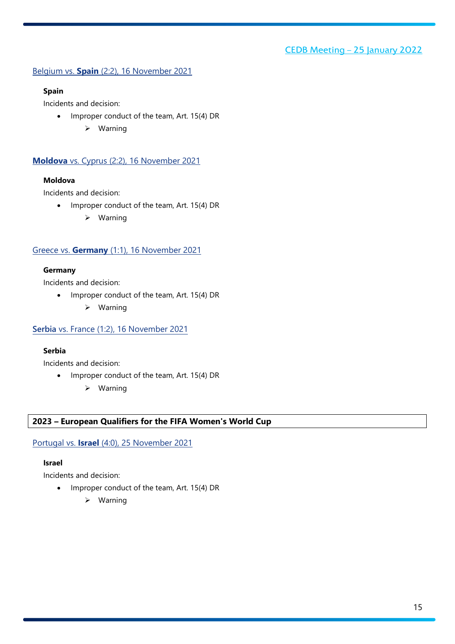## <span id="page-14-0"></span>Belgium vs. **Spain** (2:2), 16 November 2021

#### **Spain**

Incidents and decision:

- Improper conduct of the team, Art. 15(4) DR
	- Warning

## <span id="page-14-1"></span>**Moldova** vs. Cyprus (2:2), 16 November 2021

#### **Moldova**

Incidents and decision:

- Improper conduct of the team, Art. 15(4) DR
	- $\triangleright$  Warning

#### <span id="page-14-2"></span>Greece vs. **Germany** (1:1), 16 November 2021

#### **Germany**

Incidents and decision:

- Improper conduct of the team, Art. 15(4) DR
	- $\triangleright$  Warning

#### <span id="page-14-3"></span>**Serbia** vs. France (1:2), 16 November 2021

#### **Serbia**

Incidents and decision:

- Improper conduct of the team, Art. 15(4) DR
	- $\triangleright$  Warning

#### <span id="page-14-4"></span>**2023 – European Qualifiers for the FIFA Women's World Cup**

#### <span id="page-14-5"></span>Portugal vs. **Israel** (4:0), 25 November 2021

#### **Israel**

- Improper conduct of the team, Art. 15(4) DR
	- $\triangleright$  Warning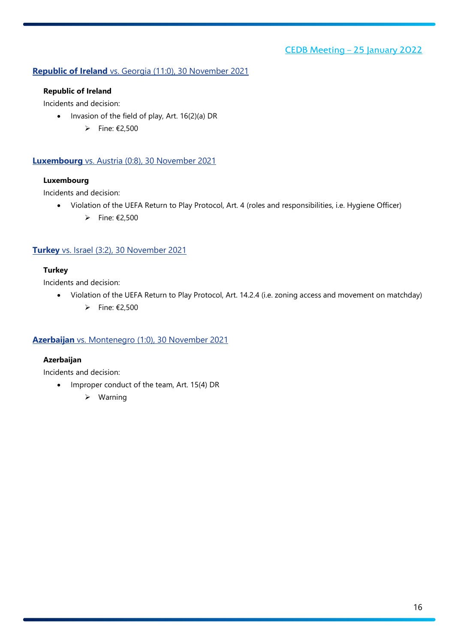## <span id="page-15-0"></span>**Republic of Ireland** vs. Georgia (11:0), 30 November 2021

#### **Republic of Ireland**

Incidents and decision:

- Invasion of the field of play, Art. 16(2)(a) DR
	- $▶$  Fine: €2,500

#### <span id="page-15-1"></span>**Luxembourg** vs. Austria (0:8), 30 November 2021

#### **Luxembourg**

Incidents and decision:

- Violation of the UEFA Return to Play Protocol, Art. 4 (roles and responsibilities, i.e. Hygiene Officer)
	- $\rightharpoonup$  Fine: €2,500

#### <span id="page-15-2"></span>**Turkey** vs. Israel (3:2), 30 November 2021

#### **Turkey**

Incidents and decision:

- Violation of the UEFA Return to Play Protocol, Art. 14.2.4 (i.e. zoning access and movement on matchday)
	- $\triangleright$  Fine: €2,500

## <span id="page-15-3"></span>**Azerbaijan** vs. Montenegro (1:0), 30 November 2021

#### **Azerbaijan**

- Improper conduct of the team, Art. 15(4) DR
	- $\triangleright$  Warning